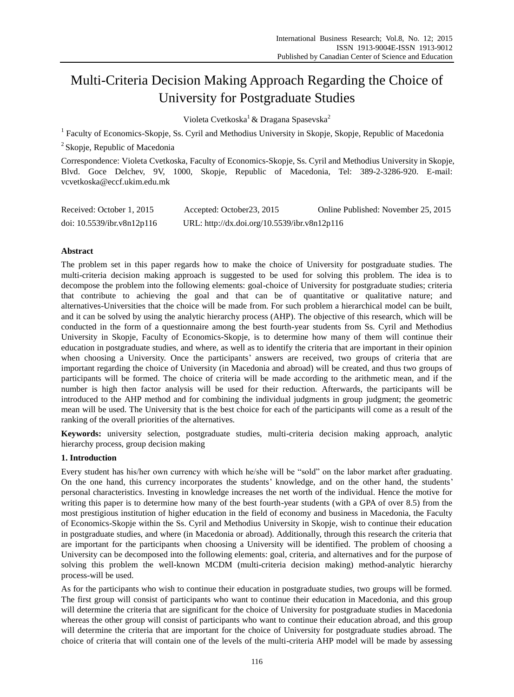# Multi-Criteria Decision Making Approach Regarding the Choice of University for Postgraduate Studies

Violeta Cvetkoska<sup>1</sup> & Dragana Spasevska<sup>2</sup>

<sup>1</sup> Faculty of Economics-Skopje, Ss. Cyril and Methodius University in Skopje, Skopje, Republic of Macedonia

<sup>2</sup> Skopje, Republic of Macedonia

Correspondence: Violeta Cvetkoska, Faculty of Economics-Skopje, Ss. Cyril and Methodius University in Skopje, Blvd. Goce Delchev, 9V, 1000, Skopje, Republic of Macedonia, Tel: 389-2-3286-920. E-mail: vcvetkoska@eccf.ukim.edu.mk

| Received: October 1, 2015     | Accepted: October 23, 2015                   | Online Published: November 25, 2015 |
|-------------------------------|----------------------------------------------|-------------------------------------|
| doi: $10.5539$ /ibr.v8n12p116 | URL: http://dx.doi.org/10.5539/ibr.v8n12p116 |                                     |

## **Abstract**

The problem set in this paper regards how to make the choice of University for postgraduate studies. The multi-criteria decision making approach is suggested to be used for solving this problem. The idea is to decompose the problem into the following elements: goal-choice of University for postgraduate studies; criteria that contribute to achieving the goal and that can be of quantitative or qualitative nature; and alternatives-Universities that the choice will be made from. For such problem a hierarchical model can be built, and it can be solved by using the analytic hierarchy process (AHP). The objective of this research, which will be conducted in the form of a questionnaire among the best fourth-year students from Ss. Cyril and Methodius University in Skopje, Faculty of Economics-Skopje, is to determine how many of them will continue their education in postgraduate studies, and where, as well as to identify the criteria that are important in their opinion when choosing a University. Once the participants' answers are received, two groups of criteria that are important regarding the choice of University (in Macedonia and abroad) will be created, and thus two groups of participants will be formed. The choice of criteria will be made according to the arithmetic mean, and if the number is high then factor analysis will be used for their reduction. Afterwards, the participants will be introduced to the AHP method and for combining the individual judgments in group judgment; the geometric mean will be used. The University that is the best choice for each of the participants will come as a result of the ranking of the overall priorities of the alternatives.

**Keywords:** university selection, postgraduate studies, multi-criteria decision making approach, analytic hierarchy process, group decision making

## **1. Introduction**

Every student has his/her own currency with which he/she will be "sold" on the labor market after graduating. On the one hand, this currency incorporates the students' knowledge, and on the other hand, the students' personal characteristics. Investing in knowledge increases the net worth of the individual. Hence the motive for writing this paper is to determine how many of the best fourth-year students (with a GPA of over 8.5) from the most prestigious institution of higher education in the field of economy and business in Macedonia, the Faculty of Economics-Skopje within the Ss. Cyril and Methodius University in Skopje, wish to continue their education in postgraduate studies, and where (in Macedonia or abroad). Additionally, through this research the criteria that are important for the participants when choosing a University will be identified. The problem of choosing a University can be decomposed into the following elements: goal, criteria, and alternatives and for the purpose of solving this problem the well-known MCDM (multi-criteria decision making) method-analytic hierarchy process-will be used.

As for the participants who wish to continue their education in postgraduate studies, two groups will be formed. The first group will consist of participants who want to continue their education in Macedonia, and this group will determine the criteria that are significant for the choice of University for postgraduate studies in Macedonia whereas the other group will consist of participants who want to continue their education abroad, and this group will determine the criteria that are important for the choice of University for postgraduate studies abroad. The choice of criteria that will contain one of the levels of the multi-criteria AHP model will be made by assessing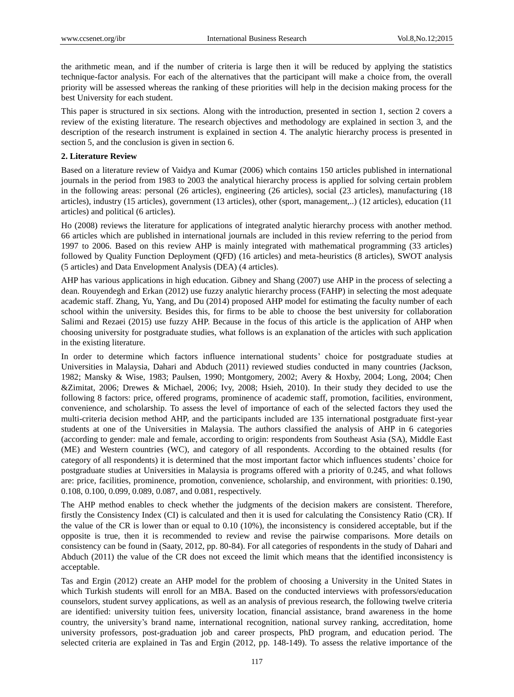the arithmetic mean, and if the number of criteria is large then it will be reduced by applying the statistics technique-factor analysis. For each of the alternatives that the participant will make a choice from, the overall priority will be assessed whereas the ranking of these priorities will help in the decision making process for the best University for each student.

This paper is structured in six sections. Along with the introduction, presented in section 1, section 2 covers a review of the existing literature. The research objectives and methodology are explained in section 3, and the description of the research instrument is explained in section 4. The analytic hierarchy process is presented in section 5, and the conclusion is given in section 6.

#### **2. Literature Review**

Based on a literature review of Vaidya and Kumar (2006) which contains 150 articles published in international journals in the period from 1983 to 2003 the analytical hierarchy process is applied for solving certain problem in the following areas: personal (26 articles), engineering (26 articles), social (23 articles), manufacturing (18 articles), industry (15 articles), government (13 articles), other (sport, management,..) (12 articles), education (11 articles) and political (6 articles).

Ho (2008) reviews the literature for applications of integrated analytic hierarchy process with another method. 66 articles which are published in international journals are included in this review referring to the period from 1997 to 2006. Based on this review AHP is mainly integrated with mathematical programming (33 articles) followed by Quality Function Deployment (QFD) (16 articles) and meta-heuristics (8 articles), SWOT analysis (5 articles) and Data Envelopment Analysis (DEA) (4 articles).

AHP has various applications in high education. Gibney and Shang (2007) use AHP in the process of selecting a dean. Rouyendegh and Erkan (2012) use fuzzy analytic hierarchy process (FAHP) in selecting the most adequate academic staff. Zhang, Yu, Yang, and Du (2014) proposed AHP model for estimating the faculty number of each school within the university. Besides this, for firms to be able to choose the best university for collaboration Salimi and Rezaei (2015) use fuzzy AHP. Because in the focus of this article is the application of AHP when choosing university for postgraduate studies, what follows is an explanation of the articles with such application in the existing literature.

In order to determine which factors influence international students' choice for postgraduate studies at Universities in Malaysia, Dahari and Abduch (2011) reviewed studies conducted in many countries (Jackson, 1982; Mansky & Wise, 1983; Paulsen, 1990; Montgomery, 2002; Avery & Hoxby, 2004; Long, 2004; Chen &Zimitat, 2006; Drewes & Michael, 2006; Ivy, 2008; Hsieh, 2010). In their study they decided to use the following 8 factors: price, offered programs, prominence of academic staff, promotion, facilities, environment, convenience, and scholarship. To assess the level of importance of each of the selected factors they used the multi-criteria decision method AHP, and the participants included are 135 international postgraduate first-year students at one of the Universities in Malaysia. The authors classified the analysis of AHP in 6 categories (according to gender: male and female, according to origin: respondents from Southeast Asia (SA), Middle East (ME) and Western countries (WC), and category of all respondents. According to the obtained results (for category of all respondents) it is determined that the most important factor which influences students' choice for postgraduate studies at Universities in Malaysia is programs offered with a priority of 0.245, and what follows are: price, facilities, prominence, promotion, convenience, scholarship, and environment, with priorities: 0.190, 0.108, 0.100, 0.099, 0.089, 0.087, and 0.081, respectively.

The AHP method enables to check whether the judgments of the decision makers are consistent. Therefore, firstly the Consistency Index (CI) is calculated and then it is used for calculating the Consistency Ratio (CR). If the value of the CR is lower than or equal to 0.10 (10%), the inconsistency is considered acceptable, but if the opposite is true, then it is recommended to review and revise the pairwise comparisons. More details on consistency can be found in (Saaty, 2012, pp. 80-84). For all categories of respondents in the study of Dahari and Abduch (2011) the value of the CR does not exceed the limit which means that the identified inconsistency is acceptable.

Tas and Ergin (2012) create an AHP model for the problem of choosing a University in the United States in which Turkish students will enroll for an MBA. Based on the conducted interviews with professors/education counselors, student survey applications, as well as an analysis of previous research, the following twelve criteria are identified: university tuition fees, university location, financial assistance, brand awareness in the home country, the university's brand name, international recognition, national survey ranking, accreditation, home university professors, post-graduation job and career prospects, PhD program, and education period. The selected criteria are explained in Tas and Ergin (2012, pp. 148-149). To assess the relative importance of the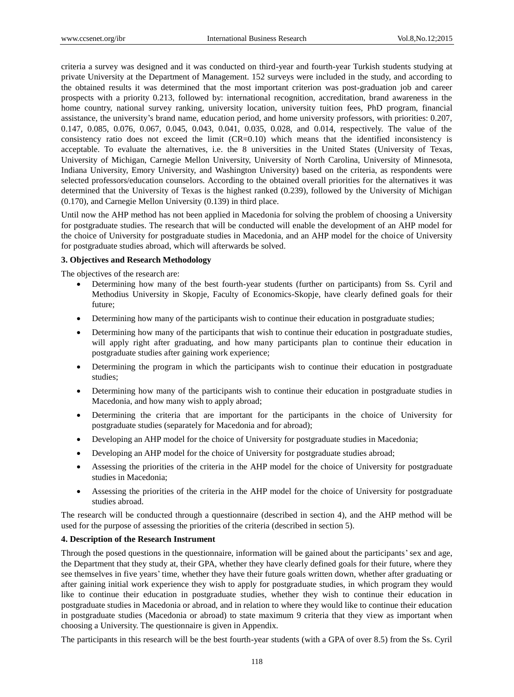criteria a survey was designed and it was conducted on third-year and fourth-year Turkish students studying at private University at the Department of Management. 152 surveys were included in the study, and according to the obtained results it was determined that the most important criterion was post-graduation job and career prospects with a priority 0.213, followed by: international recognition, accreditation, brand awareness in the home country, national survey ranking, university location, university tuition fees, PhD program, financial assistance, the university's brand name, education period, and home university professors, with priorities: 0.207, 0.147, 0.085, 0.076, 0.067, 0.045, 0.043, 0.041, 0.035, 0.028, and 0.014, respectively. The value of the consistency ratio does not exceed the limit (CR=0.10) which means that the identified inconsistency is acceptable. To evaluate the alternatives, i.e. the 8 universities in the United States (University of Texas, University of Michigan, Carnegie Mellon University, University of North Carolina, University of Minnesota, Indiana University, Emory University, and Washington University) based on the criteria, as respondents were selected professors/education counselors. According to the obtained overall priorities for the alternatives it was determined that the University of Texas is the highest ranked (0.239), followed by the University of Michigan (0.170), and Carnegie Mellon University (0.139) in third place.

Until now the AHP method has not been applied in Macedonia for solving the problem of choosing a University for postgraduate studies. The research that will be conducted will enable the development of an AHP model for the choice of University for postgraduate studies in Macedonia, and an AHP model for the choice of University for postgraduate studies abroad, which will afterwards be solved.

### **3. Objectives and Research Methodology**

The objectives of the research are:

- Determining how many of the best fourth-year students (further on participants) from Ss. Cyril and Methodius University in Skopje, Faculty of Economics-Skopje, have clearly defined goals for their future;
- Determining how many of the participants wish to continue their education in postgraduate studies;
- Determining how many of the participants that wish to continue their education in postgraduate studies, will apply right after graduating, and how many participants plan to continue their education in postgraduate studies after gaining work experience;
- Determining the program in which the participants wish to continue their education in postgraduate studies;
- Determining how many of the participants wish to continue their education in postgraduate studies in Macedonia, and how many wish to apply abroad;
- Determining the criteria that are important for the participants in the choice of University for postgraduate studies (separately for Macedonia and for abroad);
- Developing an AHP model for the choice of University for postgraduate studies in Macedonia;
- Developing an AHP model for the choice of University for postgraduate studies abroad;
- Assessing the priorities of the criteria in the AHP model for the choice of University for postgraduate studies in Macedonia;
- Assessing the priorities of the criteria in the AHP model for the choice of University for postgraduate studies abroad.

The research will be conducted through a questionnaire (described in section 4), and the AHP method will be used for the purpose of assessing the priorities of the criteria (described in section 5).

## **4. Description of the Research Instrument**

Through the posed questions in the questionnaire, information will be gained about the participants'sex and age, the Department that they study at, their GPA, whether they have clearly defined goals for their future, where they see themselves in five years' time, whether they have their future goals written down, whether after graduating or after gaining initial work experience they wish to apply for postgraduate studies, in which program they would like to continue their education in postgraduate studies, whether they wish to continue their education in postgraduate studies in Macedonia or abroad, and in relation to where they would like to continue their education in postgraduate studies (Macedonia or abroad) to state maximum 9 criteria that they view as important when choosing a University. The questionnaire is given in Appendix.

The participants in this research will be the best fourth-year students (with a GPA of over 8.5) from the Ss. Cyril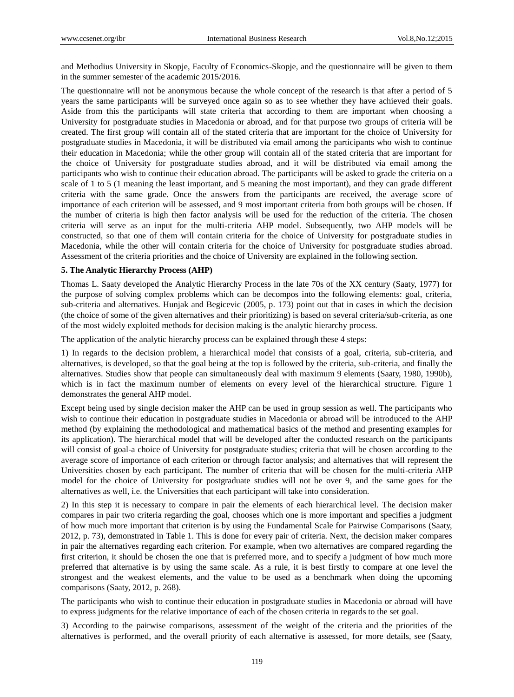and Methodius University in Skopje, Faculty of Economics-Skopje, and the questionnaire will be given to them in the summer semester of the academic 2015/2016.

The questionnaire will not be anonymous because the whole concept of the research is that after a period of 5 years the same participants will be surveyed once again so as to see whether they have achieved their goals. Aside from this the participants will state criteria that according to them are important when choosing a University for postgraduate studies in Macedonia or abroad, and for that purpose two groups of criteria will be created. The first group will contain all of the stated criteria that are important for the choice of University for postgraduate studies in Macedonia, it will be distributed via email among the participants who wish to continue their education in Macedonia; while the other group will contain all of the stated criteria that are important for the choice of University for postgraduate studies abroad, and it will be distributed via email among the participants who wish to continue their education abroad. The participants will be asked to grade the criteria on a scale of 1 to 5 (1 meaning the least important, and 5 meaning the most important), and they can grade different criteria with the same grade. Once the answers from the participants are received, the average score of importance of each criterion will be assessed, and 9 most important criteria from both groups will be chosen. If the number of criteria is high then factor analysis will be used for the reduction of the criteria. The chosen criteria will serve as an input for the multi-criteria AHP model. Subsequently, two AHP models will be constructed, so that one of them will contain criteria for the choice of University for postgraduate studies in Macedonia, while the other will contain criteria for the choice of University for postgraduate studies abroad. Assessment of the criteria priorities and the choice of University are explained in the following section.

#### **5. The Analytic Hierarchy Process (AHP)**

Thomas L. Saaty developed the Analytic Hierarchy Process in the late 70s of the XX century (Saaty, 1977) for the purpose of solving complex problems which can be decompos into the following elements: goal, criteria, sub-criteria and alternatives. Hunjak and Begicevic (2005, p. 173) point out that in cases in which the decision (the choice of some of the given alternatives and their prioritizing) is based on several criteria/sub-criteria, as one of the most widely exploited methods for decision making is the analytic hierarchy process.

The application of the analytic hierarchy process can be explained through these 4 steps:

1) In regards to the decision problem, a hierarchical model that consists of a goal, criteria, sub-criteria, and alternatives, is developed, so that the goal being at the top is followed by the criteria, sub-criteria, and finally the alternatives. Studies show that people can simultaneously deal with maximum 9 elements (Saaty, 1980, 1990b), which is in fact the maximum number of elements on every level of the hierarchical structure. Figure 1 demonstrates the general AHP model.

Except being used by single decision maker the AHP can be used in group session as well. The participants who wish to continue their education in postgraduate studies in Macedonia or abroad will be introduced to the AHP method (by explaining the methodological and mathematical basics of the method and presenting examples for its application). The hierarchical model that will be developed after the conducted research on the participants will consist of goal-a choice of University for postgraduate studies; criteria that will be chosen according to the average score of importance of each criterion or through factor analysis; and alternatives that will represent the Universities chosen by each participant. The number of criteria that will be chosen for the multi-criteria AHP model for the choice of University for postgraduate studies will not be over 9, and the same goes for the alternatives as well, i.e. the Universities that each participant will take into consideration.

2) In this step it is necessary to compare in pair the elements of each hierarchical level. The decision maker compares in pair two criteria regarding the goal, chooses which one is more important and specifies a judgment of how much more important that criterion is by using the Fundamental Scale for Pairwise Comparisons (Saaty, 2012, p. 73), demonstrated in Table 1. This is done for every pair of criteria. Next, the decision maker compares in pair the alternatives regarding each criterion. For example, when two alternatives are compared regarding the first criterion, it should be chosen the one that is preferred more, and to specify a judgment of how much more preferred that alternative is by using the same scale. As a rule, it is best firstly to compare at one level the strongest and the weakest elements, and the value to be used as a benchmark when doing the upcoming comparisons (Saaty, 2012, p. 268).

The participants who wish to continue their education in postgraduate studies in Macedonia or abroad will have to express judgments for the relative importance of each of the chosen criteria in regards to the set goal.

3) According to the pairwise comparisons, assessment of the weight of the criteria and the priorities of the alternatives is performed, and the overall priority of each alternative is assessed, for more details, see (Saaty,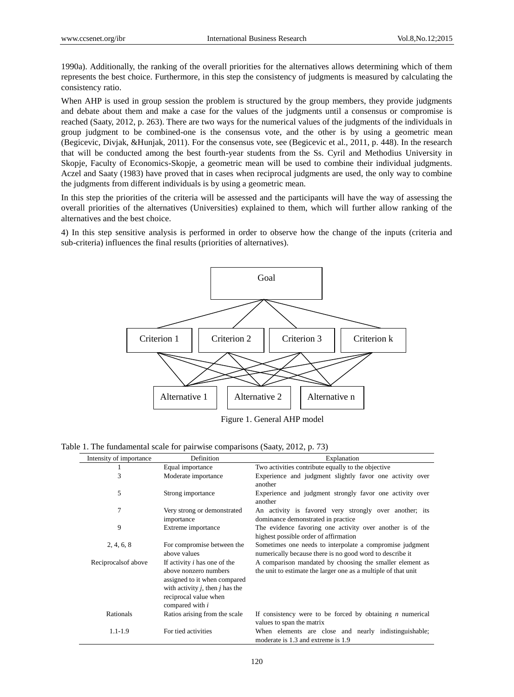1990a). Additionally, the ranking of the overall priorities for the alternatives allows determining which of them represents the best choice. Furthermore, in this step the consistency of judgments is measured by calculating the consistency ratio.

When AHP is used in group session the problem is structured by the group members, they provide judgments and debate about them and make a case for the values of the judgments until a consensus or compromise is reached (Saaty, 2012, p. 263). There are two ways for the numerical values of the judgments of the individuals in group judgment to be combined-one is the consensus vote, and the other is by using a geometric mean (Begicevic, Divjak, &Hunjak, 2011). For the consensus vote, see (Begicevic et al., 2011, p. 448). In the research that will be conducted among the best fourth-year students from the Ss. Cyril and Methodius University in Skopje, Faculty of Economics-Skopje, a geometric mean will be used to combine their individual judgments. Aczel and Saaty (1983) have proved that in cases when reciprocal judgments are used, the only way to combine the judgments from different individuals is by using a geometric mean.

In this step the priorities of the criteria will be assessed and the participants will have the way of assessing the overall priorities of the alternatives (Universities) explained to them, which will further allow ranking of the alternatives and the best choice.

4) In this step sensitive analysis is performed in order to observe how the change of the inputs (criteria and sub-criteria) influences the final results (priorities of alternatives).



Figure 1. General AHP model

Table 1. The fundamental scale for pairwise comparisons (Saaty, 2012, p. 73)

| Intensity of importance | Definition                                                                                                                                                                       | Explanation                                                                                                                |
|-------------------------|----------------------------------------------------------------------------------------------------------------------------------------------------------------------------------|----------------------------------------------------------------------------------------------------------------------------|
|                         | Equal importance                                                                                                                                                                 | Two activities contribute equally to the objective                                                                         |
| 3                       | Moderate importance                                                                                                                                                              | Experience and judgment slightly favor one activity over<br>another                                                        |
| 5                       | Strong importance                                                                                                                                                                | Experience and judgment strongly favor one activity over<br>another                                                        |
| 7                       | Very strong or demonstrated<br>importance                                                                                                                                        | An activity is favored very strongly over another; its<br>dominance demonstrated in practice                               |
| 9                       | Extreme importance                                                                                                                                                               | The evidence favoring one activity over another is of the<br>highest possible order of affirmation                         |
| 2, 4, 6, 8              | For compromise between the<br>above values                                                                                                                                       | Sometimes one needs to interpolate a compromise judgment<br>numerically because there is no good word to describe it       |
| Reciprocals of above    | If activity <i>i</i> has one of the<br>above nonzero numbers<br>assigned to it when compared<br>with activity $j$ , then $j$ has the<br>reciprocal value when<br>compared with i | A comparison mandated by choosing the smaller element as<br>the unit to estimate the larger one as a multiple of that unit |
| Rationals               | Ratios arising from the scale                                                                                                                                                    | If consistency were to be forced by obtaining $n$ numerical<br>values to span the matrix                                   |
| $1.1 - 1.9$             | For tied activities                                                                                                                                                              | When elements are close and nearly indistinguishable;<br>moderate is 1.3 and extreme is 1.9                                |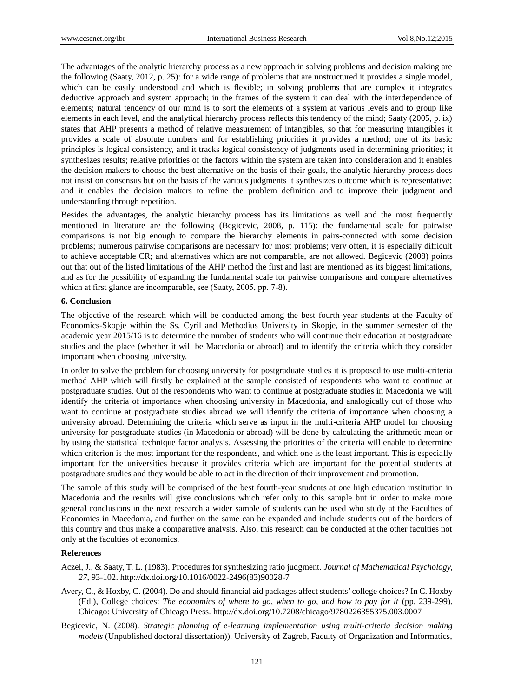The advantages of the analytic hierarchy process as a new approach in solving problems and decision making are the following (Saaty, 2012, p. 25): for a wide range of problems that are unstructured it provides a single model, which can be easily understood and which is flexible; in solving problems that are complex it integrates deductive approach and system approach; in the frames of the system it can deal with the interdependence of elements; natural tendency of our mind is to sort the elements of a system at various levels and to group like elements in each level, and the analytical hierarchy process reflects this tendency of the mind; Saaty (2005, p. ix) states that AHP presents a method of relative measurement of intangibles, so that for measuring intangibles it provides a scale of absolute numbers and for establishing priorities it provides a method; one of its basic principles is logical consistency, and it tracks logical consistency of judgments used in determining priorities; it synthesizes results; relative priorities of the factors within the system are taken into consideration and it enables the decision makers to choose the best alternative on the basis of their goals, the analytic hierarchy process does not insist on consensus but on the basis of the various judgments it synthesizes outcome which is representative; and it enables the decision makers to refine the problem definition and to improve their judgment and understanding through repetition.

Besides the advantages, the analytic hierarchy process has its limitations as well and the most frequently mentioned in literature are the following (Begicevic, 2008, p. 115): the fundamental scale for pairwise comparisons is not big enough to compare the hierarchy elements in pairs-connected with some decision problems; numerous pairwise comparisons are necessary for most problems; very often, it is especially difficult to achieve acceptable CR; and alternatives which are not comparable, are not allowed. Begicevic (2008) points out that out of the listed limitations of the AHP method the first and last are mentioned as its biggest limitations, and as for the possibility of expanding the fundamental scale for pairwise comparisons and compare alternatives which at first glance are incomparable, seе (Saaty, 2005, pp. 7-8).

#### **6. Conclusion**

The objective of the research which will be conducted among the best fourth-year students at the Faculty of Economics-Skopje within the Ss. Cyril and Methodius University in Skopje, in the summer semester of the academic year 2015/16 is to determine the number of students who will continue their education at postgraduate studies and the place (whether it will be Macedonia or abroad) and to identify the criteria which they consider important when choosing university.

In order to solve the problem for choosing university for postgraduate studies it is proposed to use multi-criteria method AHP which will firstly be explained at the sample consisted of respondents who want to continue at postgraduate studies. Out of the respondents who want to continue at postgraduate studies in Macedonia we will identify the criteria of importance when choosing university in Macedonia, and analogically out of those who want to continue at postgraduate studies abroad we will identify the criteria of importance when choosing a university abroad. Determining the criteria which serve as input in the multi-criteria AHP model for choosing university for postgraduate studies (in Macedonia or abroad) will be done by calculating the arithmetic mean or by using the statistical technique factor analysis. Assessing the priorities of the criteria will enable to determine which criterion is the most important for the respondents, and which one is the least important. This is especially important for the universities because it provides criteria which are important for the potential students at postgraduate studies and they would be able to act in the direction of their improvement and promotion.

The sample of this study will be comprised of the best fourth-year students at one high education institution in Macedonia and the results will give conclusions which refer only to this sample but in order to make more general conclusions in the next research a wider sample of students can be used who study at the Faculties of Economics in Macedonia, and further on the same can be expanded and include students out of the borders of this country and thus make a comparative analysis. Also, this research can be conducted at the other faculties not only at the faculties of economics.

## **References**

- Aczel, J., & Saaty, T. L. (1983). Procedures for synthesizing ratio judgment. *Journal of Mathematical Psychology, 27*, 93-102. [http://dx.doi.org/10.1016/0022-2496\(83\)90028-7](http://dx.doi.org/10.1016/0022-2496(83)90028-7)
- Avery, C., & Hoxby, C. (2004). Do and should financial aid packages affect students' college choices? In C. Hoxby (Ed.), College choices: *The economics of where to go, when to go, and how to pay for it* (pp. 239-299). Chicago: University of Chicago Press.<http://dx.doi.org/10.7208/chicago/9780226355375.003.0007>
- Begicevic, N. (2008). *Strategic planning of e-learning implementation using multi-criteria decision making models* (Unpublished doctoral dissertation)). University of Zagreb, Faculty of Organization and Informatics,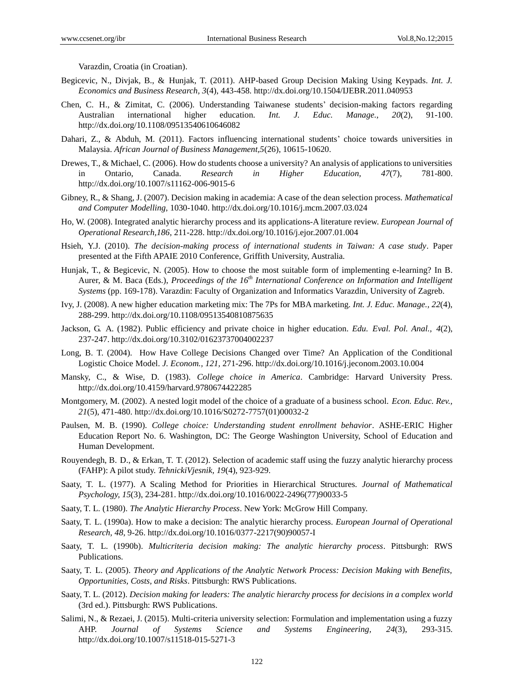Varazdin, Croatia (in Croatian).

- Begicevic, N., Divjak, B., & Hunjak, T. (2011). AHP-based Group Decision Making Using Keypads. *Int. J. Economics and Business Research, 3*(4), 443-458.<http://dx.doi.org/10.1504/IJEBR.2011.040953>
- Chen, C. H., & Zimitat, C. (2006). Understanding Taiwanese students' decision-making factors regarding Australian international higher education. *Int. J. Educ. Manage., 20*(2), 91-100. <http://dx.doi.org/10.1108/09513540610646082>
- Dahari, Z., & Abduh, M. (2011). Factors influencing international students' choice towards universities in Malaysia. *African Journal of Business Management,5*(26), 10615-10620.
- Drewes, T., & Michael, C. (2006). How do students choose a university? An analysis of applications to universities in Ontario, Canada. *Research in Higher Education, 47*(7), 781-800. <http://dx.doi.org/10.1007/s11162-006-9015-6>
- Gibney, R., & Shang, J. (2007). Decision making in academia: A case of the dean selection process. *Mathematical and Computer Modelling,* 1030-1040. <http://dx.doi.org/10.1016/j.mcm.2007.03.024>
- Ho, W. (2008). Integrated analytic hierarchy process and its applications-A literature review. *European Journal of Operational Research,186*, 211-228[. http://dx.doi.org/10.1016/j.ejor.2007.01.004](http://dx.doi.org/10.1016/j.ejor.2007.01.004)
- Hsieh, Y.J. (2010). *The decision-making process of international students in Taiwan: A case study*. Paper presented at the Fifth APAIE 2010 Conference, Griffith University, Australia.
- Hunjak, T., & Begicevic, N. (2005). How to choose the most suitable form of implementing e-learning? In B. Aurer, & M. Baca (Eds.), *Proceedings of the 16th International Conference on Information and Intelligent Systems* (pp. 169-178). Varazdin: Faculty of Organization and Informatics Varazdin, University of Zagreb.
- Ivy, J. (2008). A new higher education marketing mix: The 7Ps for MBA marketing. *Int. J. Educ. Manage., 22*(4), 288-299.<http://dx.doi.org/10.1108/09513540810875635>
- Jackson, G. A. (1982). Public efficiency and private choice in higher education. *Edu. Eval. Pol. Anal., 4*(2), 237-247.<http://dx.doi.org/10.3102/01623737004002237>
- Long, B. T. (2004). How Have College Decisions Changed over Time? An Application of the Conditional Logistic Choice Model. *J. Econom., 121,* 271-296.<http://dx.doi.org/10.1016/j.jeconom.2003.10.004>
- Mansky, C., & Wise, D. (1983). *College choice in America*. Cambridge: Harvard University Press. <http://dx.doi.org/10.4159/harvard.9780674422285>
- Montgomery, M. (2002). A nested logit model of the choice of a graduate of a business school. *Econ. Educ. Rev., 21*(5), 471-480. [http://dx.doi.org/10.1016/S0272-7757\(01\)00032-2](http://dx.doi.org/10.1016/S0272-7757(01)00032-2)
- Paulsen, M. B. (1990). *College choice: Understanding student enrollment behavior*. ASHE-ERIC Higher Education Report No. 6. Washington, DC: The George Washington University, School of Education and Human Development.
- Rouyendegh, B. D., & Erkan, T. T. (2012). Selection of academic staff using the fuzzy analytic hierarchy process (FAHP): A pilot study. *TehnickiVjesnik, 19*(4), 923-929.
- Saaty, T. L. (1977). A Scaling Method for Priorities in Hierarchical Structures. *Journal of Mathematical Psychology, 15*(3), 234-281[. http://dx.doi.org/10.1016/0022-2496\(77\)90033-5](http://dx.doi.org/10.1016/0022-2496(77)90033-5)
- Saaty, T. L. (1980). *The Analytic Hierarchy Process*. New York: McGrow Hill Company.
- Saaty, T. L. (1990a). How to make a decision: The analytic hierarchy process. *European Journal of Operational Research, 48*, 9-26. [http://dx.doi.org/10.1016/0377-2217\(90\)90057-I](http://dx.doi.org/10.1016/0377-2217(90)90057-I)
- Saaty, T. L. (1990b). *Multicriteria decision making: The analytic hierarchy process*. Pittsburgh: RWS Publications.
- Saaty, T. L. (2005). *Theory and Applications of the Analytic Network Process: Decision Making with Benefits, Opportunities, Costs, and Risks*. Pittsburgh: RWS Publications.
- Saaty, T. L. (2012). *Decision making for leaders: The analytic hierarchy process for decisions in a complex world* (3rd ed.). Pittsburgh: RWS Publications.
- Salimi, N., & Rezaei, J. (2015). Multi-criteria university selection: Formulation and implementation using a fuzzy AHP. *Journal of Systems Science and Systems Engineering, 24*(3), 293-315. <http://dx.doi.org/10.1007/s11518-015-5271-3>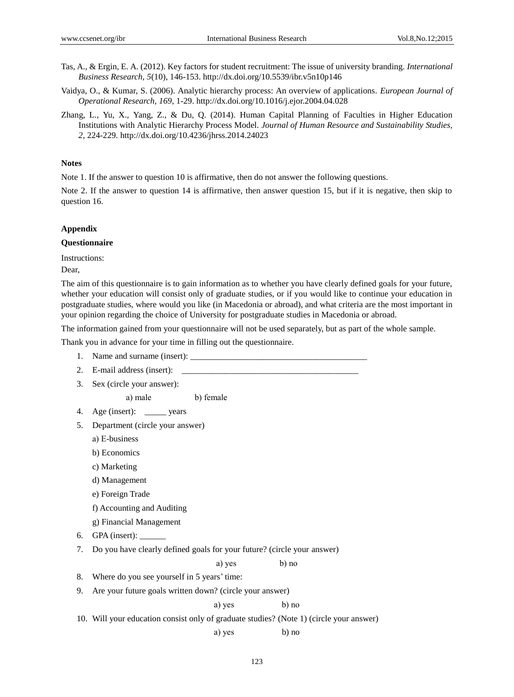- Tas, A., & Ergin, E. A. (2012). Key factors for student recruitment: The issue of university branding. *International Business Research, 5*(10), 146-153.<http://dx.doi.org/10.5539/ibr.v5n10p146>
- Vaidya, O., & Kumar, S. (2006). Analytic hierarchy process: An overview of applications. *European Journal of Operational Research, 169*, 1-29[. http://dx.doi.org/10.1016/j.ejor.2004.04.028](http://dx.doi.org/10.1016/j.ejor.2004.04.028)
- Zhang, L., Yu, X., Yang, Z., & Du, Q. (2014). Human Capital Planning of Faculties in Higher Education Institutions with Analytic Hierarchy Process Model. *Journal of Human Resource and Sustainability Studies, 2*, 224-229.<http://dx.doi.org/10.4236/jhrss.2014.24023>

#### **Notes**

Note 1. If the answer to question 10 is affirmative, then do not answer the following questions.

Note 2. If the answer to question 14 is affirmative, then answer question 15, but if it is negative, then skip to question 16.

#### **Appendix**

#### **Questionnaire**

Instructions:

Dear,

The aim of this questionnaire is to gain information as to whether you have clearly defined goals for your future, whether your education will consist only of graduate studies, or if you would like to continue your education in postgraduate studies, where would you like (in Macedonia or abroad), and what criteria are the most important in your opinion regarding the choice of University for postgraduate studies in Macedonia or abroad.

The information gained from your questionnaire will not be used separately, but as part of the whole sample.

Thank you in advance for your time in filling out the questionnaire.

123 1. Name and surname (insert): 2. E-mail address (insert): 3. Sex (circle your answer): a) male b) female 4. Age (insert): \_\_\_\_\_ years 5. Department (circle your answer) а) E-business b) Economics c) Marketing d) Management e) Foreign Trade f) Accounting and Auditing g) Financial Management 6. GPA (insert): 7. Do you have clearly defined goals for your future? (circle your answer) a) yes b) no 8. Where do you see yourself in 5 years' time: 9. Are your future goals written down? (circle your answer) a) yes b) no 10. Will your education consist only of graduate studies? (Note 1) (circle your answer) a) yes b) no